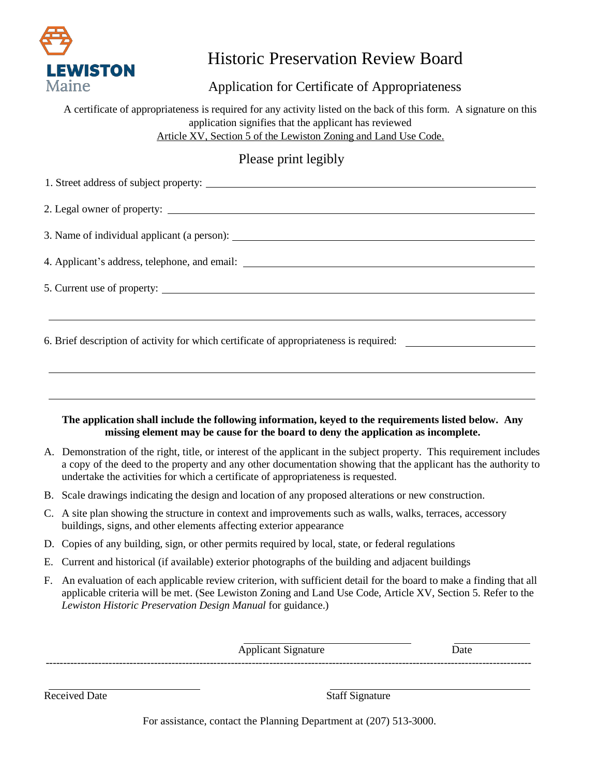

# Historic Preservation Review Board

Application for Certificate of Appropriateness

A certificate of appropriateness is required for any activity listed on the back of this form. A signature on this application signifies that the applicant has reviewed Article XV, Section 5 of the Lewiston Zoning and Land Use Code.

## Please print legibly

| 1. Street address of subject property:                                                                                                                                                                                               |
|--------------------------------------------------------------------------------------------------------------------------------------------------------------------------------------------------------------------------------------|
|                                                                                                                                                                                                                                      |
|                                                                                                                                                                                                                                      |
| 4. Applicant's address, telephone, and email: <b>All and All and All and All and All and All and All and All and All and All and All and All and All and All and All and All and All and All and All and All and All and All and</b> |
| 5. Current use of property:                                                                                                                                                                                                          |
| 6. Brief description of activity for which certificate of appropriateness is required:                                                                                                                                               |
|                                                                                                                                                                                                                                      |

#### **The application shall include the following information, keyed to the requirements listed below. Any missing element may be cause for the board to deny the application as incomplete.**

- A. Demonstration of the right, title, or interest of the applicant in the subject property. This requirement includes a copy of the deed to the property and any other documentation showing that the applicant has the authority to undertake the activities for which a certificate of appropriateness is requested.
- B. Scale drawings indicating the design and location of any proposed alterations or new construction.
- C. A site plan showing the structure in context and improvements such as walls, walks, terraces, accessory buildings, signs, and other elements affecting exterior appearance
- D. Copies of any building, sign, or other permits required by local, state, or federal regulations
- E. Current and historical (if available) exterior photographs of the building and adjacent buildings
- F. An evaluation of each applicable review criterion, with sufficient detail for the board to make a finding that all applicable criteria will be met. (See Lewiston Zoning and Land Use Code, Article XV, Section 5. Refer to the *Lewiston Historic Preservation Design Manual* for guidance.)

Applicant Signature Date -------------------------------------------------------------------------------------------------------------------------------------------

Received Date Staff Signature

For assistance, contact the Planning Department at (207) 513-3000.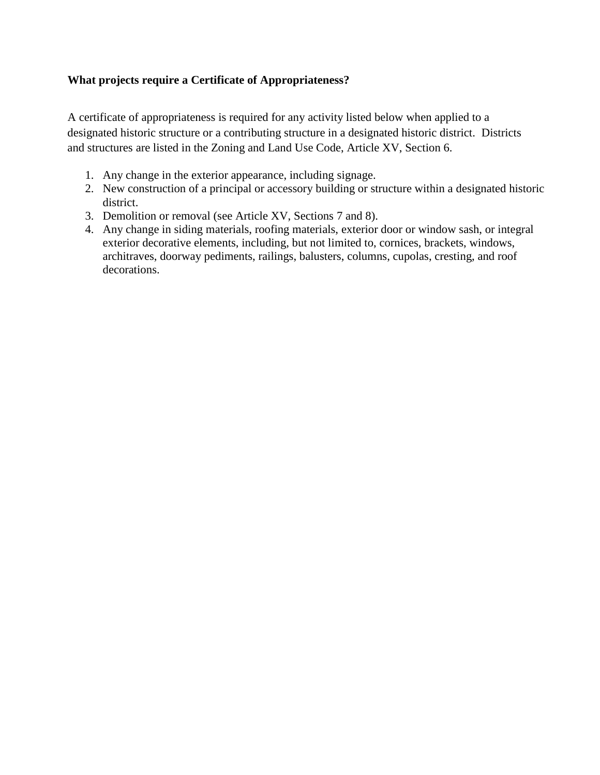#### **What projects require a Certificate of Appropriateness?**

A certificate of appropriateness is required for any activity listed below when applied to a designated historic structure or a contributing structure in a designated historic district. Districts and structures are listed in the Zoning and Land Use Code, Article XV, Section 6.

- 1. Any change in the exterior appearance, including signage.
- 2. New construction of a principal or accessory building or structure within a designated historic district.
- 3. Demolition or removal (see Article XV, Sections 7 and 8).
- 4. Any change in siding materials, roofing materials, exterior door or window sash, or integral exterior decorative elements, including, but not limited to, cornices, brackets, windows, architraves, doorway pediments, railings, balusters, columns, cupolas, cresting, and roof decorations.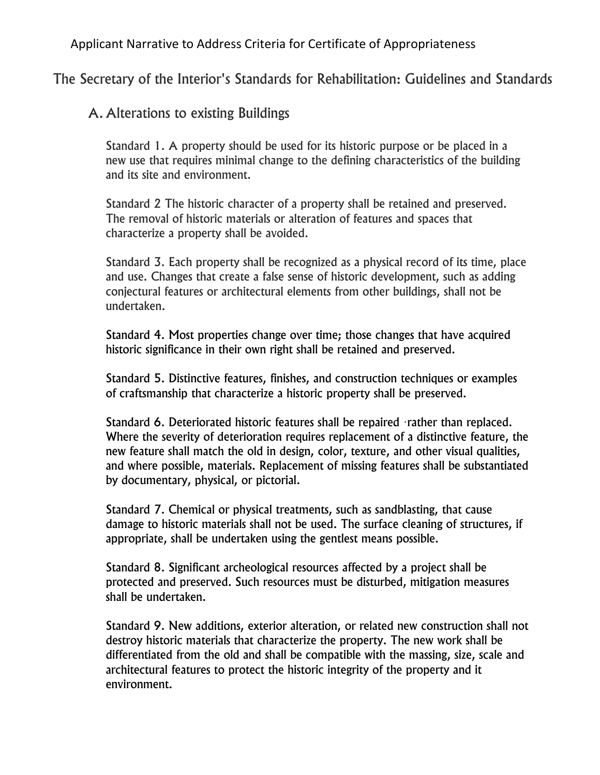Applicant Narrative to Address Criteria for Certificate of Appropriateness

The Secretary of the Interior's Standards for Rehabilitation: Guidelines and Standards

## A. Alterations to existing Buildings

Standard 1. A property should be used for its historic purpose or be placed in a new use that requires minimal change to the defining characteristics of the building and its site and environment.

Standard 2 The historic character of a property shall be retained and preserved. The removal of historic materials or alteration of features and spaces that characterize a property shall be avoided.

Standard 3. Each property shall be recognized as a physical record of its time, place and use. Changes that create a false sense of historic development, such as adding conjectural features or architectural elements from other buildings, shall not be undertaken.

Standard 4. Most properties change over time; those changes that have acquired historic significance in their own right shall be retained and preserved.

Standard 5. Distinctive features, finishes, and construction techniques or examples of craftsmanship that characterize a historic property shall be preserved.

Standard 6. Deteriorated historic features shall be repaired ·rather than replaced. Where the severity of deterioration requires replacement of a distinctive feature, the new feature shall match the old in design, color, texture, and other visual qualities, and where possible, materials. Replacement of missing features shall be substantiated by documentary, physical, or pictorial.

Standard 7. Chemical or physical treatments, such as sandblasting, that cause damage to historic materials shall not be used. The surface cleaning of structures, if appropriate, shall be undertaken using the gentlest means possible.

Standard 8. Significant archeological resources affected by a project shall be protected and preserved. Such resources must be disturbed, mitigation measures shall be undertaken.

Standard 9. New additions, exterior alteration, or related new construction shall not destroy historic materials that characterize the property. The new work shall be differentiated from the old and shall be compatible with the massing, size, scale and architectural features to protect the historic integrity of the property and it environment.